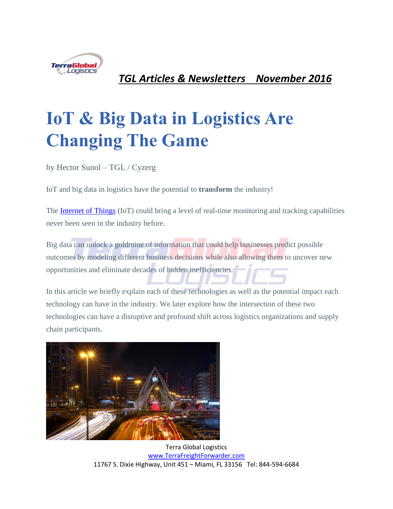

*TGL Articles & Newsletters November 2016*

# **IoT & Big Data in Logistics Are Changing The Game**

by Hector Sunol – TGL / Cyzerg

IoT and big data in logistics have the potential to **transform** the industry!

The [Internet of Things](http://articles.cyzerg.com/innovative-logistics-technology-trends-internet-of-things) (IoT) could bring a level of real-time monitoring and tracking capabilities never been seen in the industry before.

Big data can unlock a goldmine of information that could help businesses predict possible outcomes by modeling different business decisions while also allowing them to uncover new opportunities and eliminate decades of hidden inefficiencies.

In this article we briefly explain each of these technologies as well as the potential impact each technology can have in the industry. We later explore how the intersection of these two technologies can have a disruptive and profound shift across logistics organizations and supply chain participants.

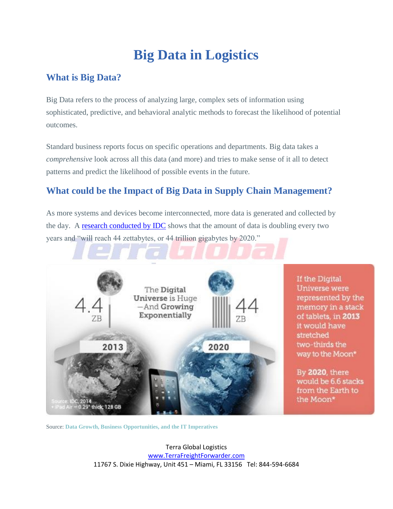## **Big Data in Logistics**

#### **What is Big Data?**

Big Data refers to the process of analyzing large, complex sets of information using sophisticated, predictive, and behavioral analytic methods to forecast the likelihood of potential outcomes.

Standard business reports focus on specific operations and departments. Big data takes a *comprehensive* look across all this data (and more) and tries to make sense of it all to detect patterns and predict the likelihood of possible events in the future.

### **What could be the Impact of Big Data in Supply Chain Management?**

As more systems and devices become interconnected, more data is generated and collected by the day. A research conducted by **IDC** shows that the amount of data is doubling every two years and "will reach 44 zettabytes, or 44 trillion gigabytes by 2020."



Source: **[Data Growth, Business Opportunities, and the IT Imperatives](http://www.emc.com/leadership/digital-universe/2014iview/executive-summary.htm)**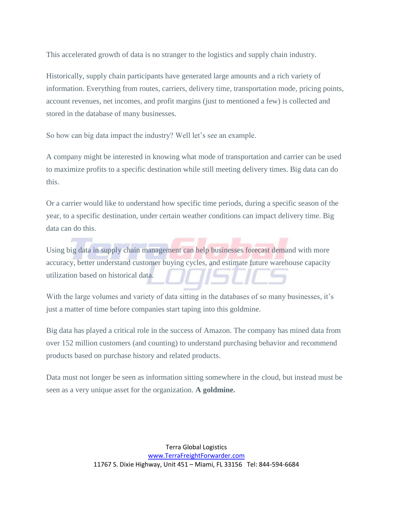This accelerated growth of data is no stranger to the logistics and supply chain industry.

Historically, supply chain participants have generated large amounts and a rich variety of information. Everything from routes, carriers, delivery time, transportation mode, pricing points, account revenues, net incomes, and profit margins (just to mentioned a few) is collected and stored in the database of many businesses.

So how can big data impact the industry? Well let's see an example.

A company might be interested in knowing what mode of transportation and carrier can be used to maximize profits to a specific destination while still meeting delivery times. Big data can do this.

Or a carrier would like to understand how specific time periods, during a specific season of the year, to a specific destination, under certain weather conditions can impact delivery time. Big data can do this.

Using big data in supply chain management can help businesses forecast demand with more accuracy, better understand customer buying cycles, and estimate future warehouse capacity utilization based on historical data.

With the large volumes and variety of data sitting in the databases of so many businesses, it's just a matter of time before companies start taping into this goldmine.

Big data has played a critical role in the success of Amazon. The company has mined data from over 152 million customers (and counting) to understand purchasing behavior and recommend products based on purchase history and related products.

Data must not longer be seen as information sitting somewhere in the cloud, but instead must be seen as a very unique asset for the organization. **A goldmine.**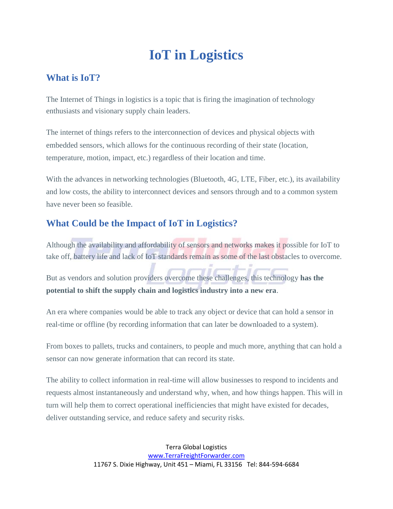### **IoT in Logistics**

#### **What is IoT?**

The Internet of Things in logistics is a topic that is firing the imagination of technology enthusiasts and visionary supply chain leaders.

The internet of things refers to the interconnection of devices and physical objects with embedded sensors, which allows for the continuous recording of their state (location, temperature, motion, impact, etc.) regardless of their location and time.

With the advances in networking technologies (Bluetooth, 4G, LTE, Fiber, etc.), its availability and low costs, the ability to interconnect devices and sensors through and to a common system have never been so feasible.

### **What Could be the Impact of IoT in Logistics?**

Although the availability and affordability of sensors and networks makes it possible for IoT to take off, battery life and lack of IoT standards remain as some of the last obstacles to overcome.

But as vendors and solution providers overcome these challenges, this technology **has the potential to shift the supply chain and logistics industry into a new era**.

An era where companies would be able to track any object or device that can hold a sensor in real-time or offline (by recording information that can later be downloaded to a system).

From boxes to pallets, trucks and containers, to people and much more, anything that can hold a sensor can now generate information that can record its state.

The ability to collect information in real-time will allow businesses to respond to incidents and requests almost instantaneously and understand why, when, and how things happen. This will in turn will help them to correct operational inefficiencies that might have existed for decades, deliver outstanding service, and reduce safety and security risks.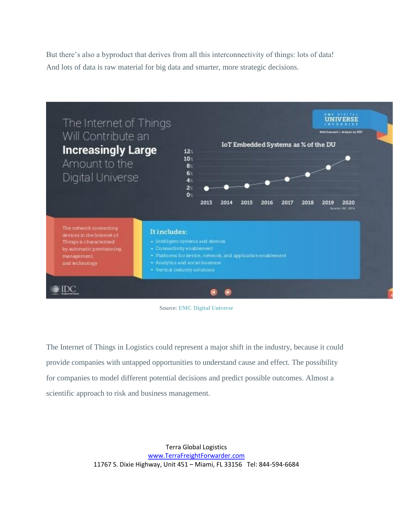But there's also a byproduct that derives from all this interconnectivity of things: lots of data! And lots of data is raw material for big data and smarter, more strategic decisions.



Source: **[EMC Digital Universe](https://www.emc.com/collateral/analyst-reports/idc-digital-universe-2014.pdf)**

The Internet of Things in Logistics could represent a major shift in the industry, because it could provide companies with untapped opportunities to understand cause and effect. The possibility for companies to model different potential decisions and predict possible outcomes. Almost a scientific approach to risk and business management.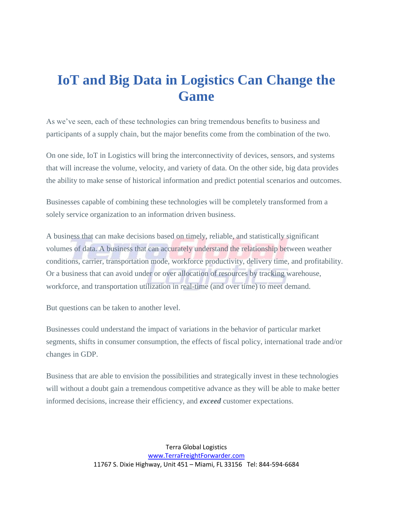### **IoT and Big Data in Logistics Can Change the Game**

As we've seen, each of these technologies can bring tremendous benefits to business and participants of a supply chain, but the major benefits come from the combination of the two.

On one side, IoT in Logistics will bring the interconnectivity of devices, sensors, and systems that will increase the volume, velocity, and variety of data. On the other side, big data provides the ability to make sense of historical information and predict potential scenarios and outcomes.

Businesses capable of combining these technologies will be completely transformed from a solely service organization to an information driven business.

A business that can make decisions based on timely, reliable, and statistically significant volumes of data. A business that can accurately understand the relationship between weather conditions, carrier, transportation mode, workforce productivity, delivery time, and profitability. Or a business that can avoid under or over allocation of resources by tracking warehouse, workforce, and transportation utilization in real-time (and over time) to meet demand.

But questions can be taken to another level.

Businesses could understand the impact of variations in the behavior of particular market segments, shifts in consumer consumption, the effects of fiscal policy, international trade and/or changes in GDP.

Business that are able to envision the possibilities and strategically invest in these technologies will without a doubt gain a tremendous competitive advance as they will be able to make better informed decisions, increase their efficiency, and *exceed* customer expectations.